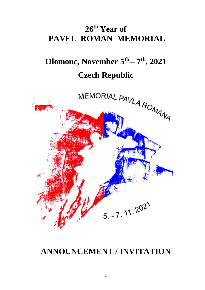# **26 th Year of PAVEL ROMAN MEMORIAL**

# **Olomouc, November 5 th – 7 th, 2021 Czech Republic**



# **ANNOUNCEMENT / INVITATION**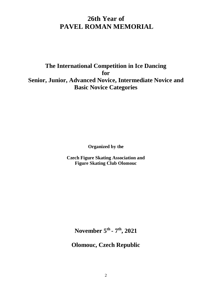# **26th Year of PAVEL ROMAN MEMORIAL**

**The International Competition in Ice Dancing for Senior, Junior, Advanced Novice, Intermediate Novice and Basic Novice Categories** 

**Organized by the** 

**Czech Figure Skating Association and Figure Skating Club Olomouc**

**November 5 th - 7 th, 2021**

**Olomouc, Czech Republic**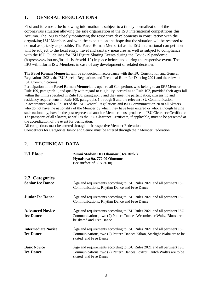# **1. GENERAL REGULATIONS**

First and foremost, the following information is subject to a timely normalization of the coronavirus situation allowing the safe organization of the ISU international competitions this Autumn. The ISU is closely monitoring the respective developments in consultation with the organizing ISU Members and with the expectation and hope that the situation will be restored to normal as quickly as possible. The Pavel Roman Memorial as the ISU international competition will be subject to the local entry, travel and sanitary measures as well as subject to compliance with the ISU Guidelines for ISU Figure Skating Events during the Covid-19 pandemic (https://www.isu.org/inside-isu/covid-19) in place before and during the respective event. The ISU will inform ISU Members in case of any development or related decision.

The **Pavel Roman Memorial** will be conducted in accordance with the ISU Constitution and General Regulations 2021, the ISU Special Regulations and Technical Rules Ice Dancing 2021 and the relevant ISU Communications.

Participation in the **Pavel Roman Memorial** is open to all Competitors who belong to an ISU Member, Rule 109, paragraph 1, and qualify with regard to eligibility, according to Rule 102, provided their ages fall within the limits specified in Rule 108, paragraph 3 and they meet the participation, citizenship and residency requirements in Rule 109, paragraphs 1 through 5 and the relevant ISU Communication. In accordance with Rule 109 of the ISU General Regulations and ISU Communication 2030 all Skaters who do not have the nationality of the Member by which they have been entered or who, although having such nationality, have in the past represented another Member, must produce an ISU Clearance Certificate. The passports of all Skaters, as well as the ISU Clearance Certificate, if applicable, must to be presented at the accreditation of the event for verification.

All competitors must be entered through their respective Member Federation.

Competitors for Categories Junior and Senior must be entered through their Member Federation.

#### **2. TECHNICAL DATA**

| 2.1.Place                                      | <b>Zimni Stadion HC Olomouc (Ice Rink)</b><br>Hynaisova 9a, 772 00 Olomouc<br>(ice surface of $60 \times 30 \text{ m}$ )                                                     |  |
|------------------------------------------------|------------------------------------------------------------------------------------------------------------------------------------------------------------------------------|--|
| 2.2. Categories                                |                                                                                                                                                                              |  |
| <b>Senior Ice Dance</b>                        | Age and requirements according to ISU Rules 2021 and all pertinent ISU<br>Communications, Rhythm Dance and Free Dance                                                        |  |
| <b>Junior Ice Dance</b>                        | Age and requirements according to ISU Rules 2021 and all pertinent ISU<br>Communications, Rhythm Dance and Free Dance                                                        |  |
| <b>Advanced Novice</b><br><b>Ice Dance</b>     | Age and requirements according to ISU Rules 2021 and all pertinent ISU<br>Communications, two (2) Pattern Dances Westminster Waltz, Blues are to<br>be skated and Free Dance |  |
| <b>Intermediate Novice</b><br><b>Ice Dance</b> | Age and requirements according to ISU Rules 2021 and all pertinent ISU<br>Communications, two (2) Pattern Dances Kilian, Starlight Waltz are to be<br>skated and Free Dance  |  |
| <b>Basic Novice</b>                            | Age and requirements according to ISU Rules 2021 and all pertinent ISU                                                                                                       |  |
| <b>Ice Dance</b>                               | Communications, two (2) Pattern Dances Foxtrot, Dutch Waltzs are to be<br>skated and Free Dance                                                                              |  |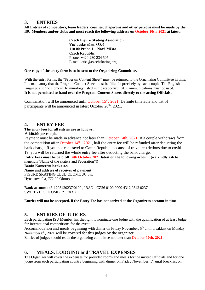#### **3. ENTRIES**

**All Entries of competitors, team leaders, coaches, chaperons and other persons must be made by the ISU Members and/or clubs and must reach the following address on October 10th, 2021 at latest.**

> **Czech Figure Skating Association Václavské nám. 838/9 110 00 Praha 1 – Nové Město Czech Republic** Phone: +420 230 234 505, E-mail: cfsa@czechskating.org

#### **One copy of the entry form is to be sent to the Organizing Committee.**

With the entry forms, the "Program Content Sheet" must be returned to the Organizing Committee in time. It is mandatory that the Program Content Sheet must be filled in precisely by each couple. The English language and the element´ terminology listed in the respective ISU Communications must be used. **It is not permitted to hand over the Program Content Sheets directly to the acting Officials.**

Confirmation will be announced until October  $15<sup>th</sup>$ , 2021. Definite timetable and list of participants will be announced in latest October  $20<sup>th</sup>$ ,  $2021$ .

#### **4. ENTRY FEE**

#### **The entry fees for all entries are as follows:**

#### **€ 140,00 per couple.**

Payment must be made in advance not later than October 14th, 2021. If a couple withdraws from the competition after October  $14<sup>th</sup>$ ,  $2021$ , half the entry fee will be refunded after deducting the bank charge. If you not can travel to Czech Republic because of travel restrictions due to covid 19, you will be returned the whole entry fee after deducting the bank charge.

**Entry Fees must be paid till 14th October 2021 latest on the following account (we kindly ask to mention** "Name of the skaters and Federation"!)

**Bank: Komerční banka a.s.**

**Name and address of receiver of payment:**

FIGURE SKATING CLUB OLOMOUC o.s.

Hynaisova 9 a, 772 00 Olomouc

**Bank account:** 43-1203420237/0100 , IBAN : CZ26 0100 0000 4312 0342 0237 SWIFT - BIC : KOMBCZPPXXX

#### **Entries will not be accepted, if the Entry Fee has not arrived at the Organizers account in time.**

#### **5. ENTRIES OF JUDGES**

Each participating ISU Member has the right to nominate one Judge with the qualification of at least Judge for International competitions for the event.

Accommodation and meals beginning with dinner on Friday November, 5<sup>th</sup> until breakfast on Monday November  $8<sup>th</sup>$ , 2021 will be covered for this judges by the organizer.

Entries of judges should reach the organizing committee not later than **October 10th, 2021.**

#### **6. MEALS, LODGING and TRAVEL EXPENSES**

The Organizer will cover the expenses for provided rooms and meals for the invited Officials and for one judge from each participating country beginning with dinner on Friday November, 5<sup>th</sup> until breakfast on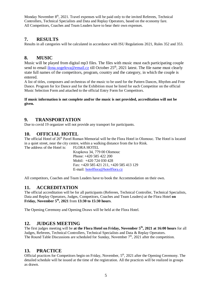Monday November 8<sup>th</sup>, 2021. Travel expenses will be paid only to the invited Referees, Technical Controllers, Technical Specialists and Data and Replay Operators, based on the economy fare. All Competitors, Coaches and Team Leaders have to bear their own expenses.

## **7. RESULTS**

Results in all categories will be calculated in accordance with ISU Regulations 2021, Rules 352 and 353.

## **8. MUSIC**

Music will be played from digital mp3 files. The files with music must each participating couple send to email  $\frac{1}{10}$  [ilona.sogelova@email.cz](mailto:ilona.sogelova@email.cz) till October 25<sup>th</sup>, 2021 latest. The file name must clearly state full names of the competitors, program, country and the category, in which the couple is entered.

A list of titles, composers and orchestras of the music to be used for the Pattern Dances, Rhythm and Free Dance. Program for Ice Dance and for the Exhibition must be listed for each Competitor on the official Music Selection Form and attached to the official Entry Form for Competitors.

#### **If music information is not complete and/or the music is not provided, accreditation will not be given.**

## **9. TRANSPORTATION**

Due to covid 19 organizer will not provide any transport for participants.

#### **10. OFFICIAL HOTEL**

The official Hotel of 26<sup>th</sup> Pavel Roman Memorial will be the Flora Hotel in Olomouc. The Hotel is located in a quiet street, near the city centre, within a walking distance from the Ice Rink.

The address of the Hotel is: FLORA HOTEL Krapkova 34, 779 00 Olomouc

Phone: +420 585 422 200 Mobil: +420 724 030 428 Fax: +420 585 421 211, +420 585 413 129 E-mail: [hotelflora@hotelflora.cz](mailto:hotelflora@hotelflora.cz)

All competitors, Coaches and Team Leaders have to book the Accommodation on their own.

# **11. ACCREDITATION**

The official accreditation will be for all participants (Referees, Technical Controller, Technical Specialists, Data and Replay Operators, Judges, Competitors, Coaches and Team Leaders) at the Flora Hotel **on Friday, November 5 th , 2021** from **13:30 to 15:30 hours**.

The Opening Ceremony and Opening Draws will be held at the Flora Hotel.

#### **12. JUDGES MEETING**

The first judges meeting will be **at the Flora Hotel on Friday, November 5 th, 2021 at 16:00 hours** for all Judges, Referees, Technical Controllers, Technical Specialists and Data & Replay Operators. The Round Table Discussions are scheduled for Sunday, November  $7<sup>th</sup>$ , 2021 after the competition.

# **13. PRACTICE**

Official practices for Competitors begin on Friday, November,  $5<sup>th</sup>$ , 2021 after the Opening Ceremony. The detailed schedule will be issued at the time of the registration. All the practices will be realized in groups as drawn.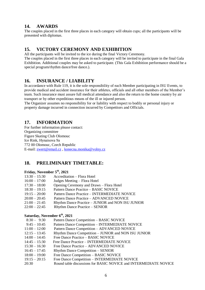#### **14. AWARDS**

The couples placed in the first three places in each category will obtain cups; all the participants will be presented with diplomas.

#### **15. VICTORY CEREMONY AND EXHIBITION**

All the participants will be invited to the ice during the final Victory Ceremony. The couples placed in the first three places in each category will be invited to participate in the final Gala Exhibition. Additional couples may be asked to participate. (This Gala Exhibition performance should be a special program/rhythm dance/free dance.).

#### **16. INSURANCE / LIABILITY**

In accordance with Rule 119, it is the sole responsibility of each Member participating in ISU Events, to provide medical and accident insurance for their athletes, officials and all other members of the Member's team. Such insurance must assure full medical attendance and also the return to the home country by air transport or by other expeditious means of the ill or injured person.

The Organizer assumes no responsibility for or liability with respect to bodily or personal injury or property damage incurred in connection incurred by Competitors and Officials.

## **17. INFORMATION**

For further information please contact: Organizing committee Figure Skating Club Olomouc Ice Rink, Hynaisova 9a 772 00 Olomouc, Czech Republic E-mail: [zwert@email.cz](mailto:zwert@email.cz) , [konecna.monika@volny.cz](mailto:konecna.monika@volny.cz)

# **18. PRELIMINARY TIMETABLE:**

#### **Friday, November 5 th, 2021**

- 13:30 15:30 Accreditation Flora Hotel
- 16:00 17:00 Judges Meeting Flora Hotel
- 17:30 18:00 Opening Ceremony and Draws Flora Hotel
- 18:30 19:15 Pattern Dance Practice BASIC NOVICE
- 19:15 20:00 Pattern Dance Practice INTERMEDIATE NOVICE
- 20:00 20:45 Pattern Dance Practice ADVANCED NOVICE
- 21:00 21:45 Rhythm Dance Practice JUNIOR and NON ISU JUNIOR
- 22:00 22:45 Rhythm Dance Practice SENIOR

#### **Saturday, November 6 th, 2021**

- 8:30 9:30 Pattern Dance Competition BASIC NOVICE
- 9:45 10:45 Pattern Dance Competition INTERMEDIATE NOVICE
- 11:00 12:00 Pattern Dance Competition ADVANCED NOVICE
- 12:15 13:45 Rhythm Dance Competition JUNIOR and NON ISU JUNIOR
- 14:00 14:45 Free Dance Practice BASIC NOVICE
- 14:45 15:30 Free Dance Practice INTERMEDIATE NOVICE
- 15:30 16:30 Free Dance Practice ADVANCED NOVICE
- 16:45 17:45 Rhythm Dance Competition SENIOR
- 18:00 19:00 Free Dance Competition BASIC NOVICE
- 19:15 20:15 Free Dance Competition INTERMEDIATE NOVICE
- 20:30 Round table discussions for BASIC NOVICE and INTERMEDIATE NOVICE